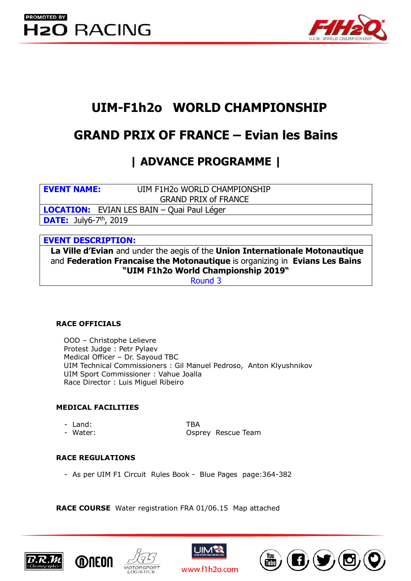

# **UIM-F1h2o WORLD CHAMPIONSHIP**

# **GRAND PRIX OF FRANCE – Evian les Bains**

## **| ADVANCE PROGRAMME |**

**EVENT NAME:** UIM F1H2o WORLD CHAMPIONSHIP GRAND PRIX of FRANCE

**LOCATION:** EVIAN LES BAIN – Quai Paul Léger

**DATE:** July6-7<sup>th</sup>, 2019

## **EVENT DESCRIPTION:**

**La Ville d'Evian** and under the aegis of the **Union Internationale Motonautique**  and **Federation Francaise the Motonautique** is organizing in **Evians Les Bains "UIM F1h2o World Championship 2019"** 

Round 3

### **RACE OFFICIALS**

OOD – Christophe Lelievre Protest Judge : Petr Pylaev Medical Officer – Dr. Sayoud TBC UIM Technical Commissioners : Gil Manuel Pedroso, Anton Klyushnikov UIM Sport Commissioner : Vahue Joalla Race Director : Luis Miguel Ribeiro

### **MEDICAL FACILITIES**

- Land: TBA
- 

- Water: Osprey Rescue Team

### **RACE REGULATIONS**

- As per UIM F1 Circuit Rules Book - Blue Pages page:364-382

**RACE COURSE** Water registration FRA 01/06.15 Map attached







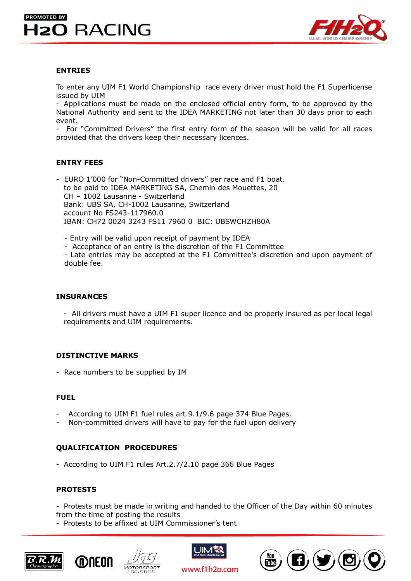## **PROMOTED BY H2O RACING**



#### **ENTRIES**

To enter any UIM F1 World Championship race every driver must hold the F1 Superlicense issued by UIM

- Applications must be made on the enclosed official entry form, to be approved by the National Authority and sent to the IDEA MARKETING not later than 30 days prior to each event.

- For "Committed Drivers" the first entry form of the season will be valid for all races provided that the drivers keep their necessary licences.

#### **ENTRY FEES**

- EURO 1'000 for "Non-Committed drivers" per race and F1 boat. to be paid to IDEA MARKETING SA, Chemin des Mouettes, 20 CH – 1002 Lausanne - Switzerland Bank: UBS SA, CH-1002 Lausanne, Switzerland account No FS243-117960.0 IBAN: CH72 0024 3243 FS11 7960 0 BIC: UBSWCHZH80A

- Entry will be valid upon receipt of payment by IDEA

- Acceptance of an entry is the discretion of the F1 Committee

- Late entries may be accepted at the F1 Committee's discretion and upon payment of double fee.

#### **INSURANCES**

- All drivers must have a UIM F1 super licence and be properly insured as per local legal requirements and UIM requirements.

#### **DISTINCTIVE MARKS**

- Race numbers to be supplied by IM

#### **FUEL**

- According to UIM F1 fuel rules art. 9.1/9.6 page 374 Blue Pages.
- Non-committed drivers will have to pay for the fuel upon delivery

#### **QUALIFICATION PROCEDURES**

- According to UIM F1 rules Art.2.7/2.10 page 366 Blue Pages

#### **PROTESTS**

- Protests must be made in writing and handed to the Officer of the Day within 60 minutes from the time of posting the results

- Protests to be affixed at UIM Commissioner's tent







www.f1h2o.com

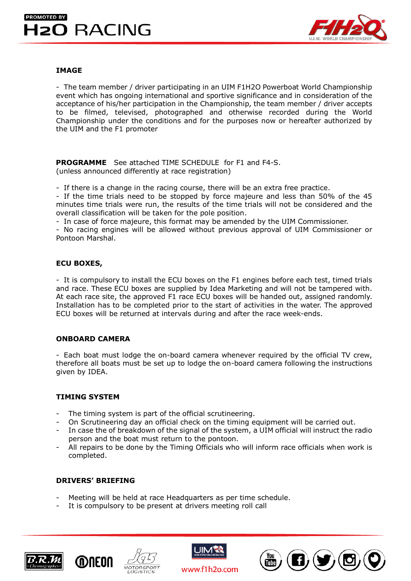## **PROMOTED BY H2O RACING**



#### **IMAGE**

- The team member / driver participating in an UIM F1H2O Powerboat World Championship event which has ongoing international and sportive significance and in consideration of the acceptance of his/her participation in the Championship, the team member / driver accepts to be filmed, televised, photographed and otherwise recorded during the World Championship under the conditions and for the purposes now or hereafter authorized by the UIM and the F1 promoter

 **PROGRAMME** See attached TIME SCHEDULE for F1 and F4-S. (unless announced differently at race registration)

- If there is a change in the racing course, there will be an extra free practice.

- If the time trials need to be stopped by force majeure and less than 50% of the 45 minutes time trials were run, the results of the time trials will not be considered and the overall classification will be taken for the pole position.

- In case of force majeure, this format may be amended by the UIM Commissioner.

- No racing engines will be allowed without previous approval of UIM Commissioner or Pontoon Marshal.

#### **ECU BOXES,**

- It is compulsory to install the ECU boxes on the F1 engines before each test, timed trials and race. These ECU boxes are supplied by Idea Marketing and will not be tampered with. At each race site, the approved F1 race ECU boxes will be handed out, assigned randomly. Installation has to be completed prior to the start of activities in the water. The approved ECU boxes will be returned at intervals during and after the race week-ends.

#### **ONBOARD CAMERA**

- Each boat must lodge the on-board camera whenever required by the official TV crew, therefore all boats must be set up to lodge the on-board camera following the instructions given by IDEA.

#### **TIMING SYSTEM**

- The timing system is part of the official scrutineering.
- On Scrutineering day an official check on the timing equipment will be carried out.
- In case the of breakdown of the signal of the system, a UIM official will instruct the radio person and the boat must return to the pontoon.
- All repairs to be done by the Timing Officials who will inform race officials when work is completed.

#### **DRIVERS' BRIEFING**

- Meeting will be held at race Headquarters as per time schedule.
- It is compulsory to be present at drivers meeting roll call







www.f1h2o.com